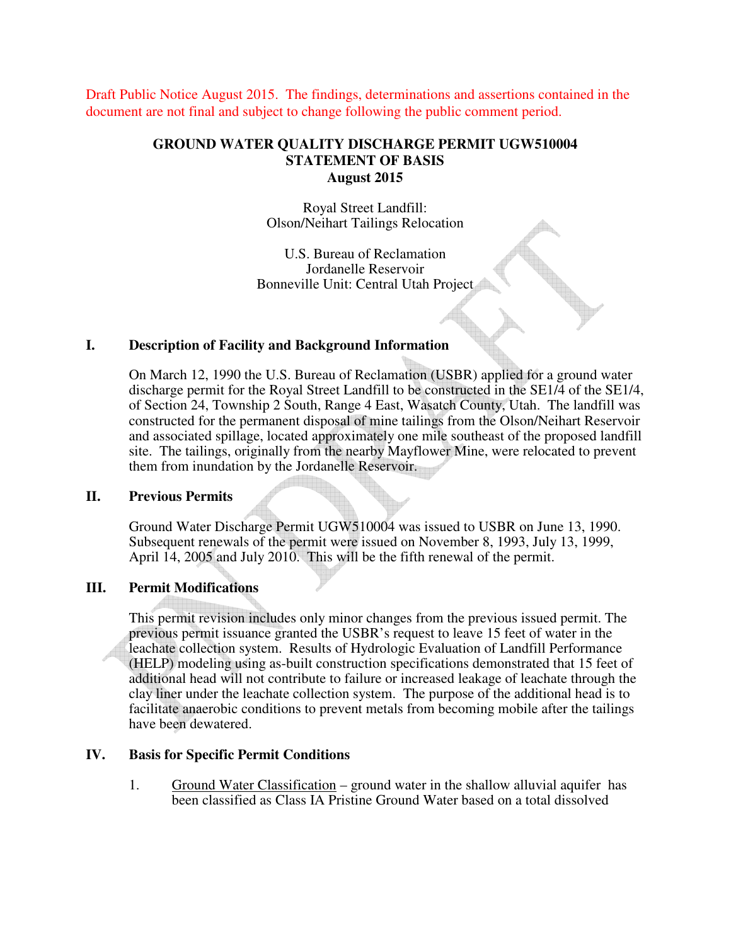Draft Public Notice August 2015. The findings, determinations and assertions contained in the document are not final and subject to change following the public comment period.

## **GROUND WATER QUALITY DISCHARGE PERMIT UGW510004 STATEMENT OF BASIS August 2015**

Royal Street Landfill: Olson/Neihart Tailings Relocation

U.S. Bureau of Reclamation Jordanelle Reservoir Bonneville Unit: Central Utah Project

## **I. Description of Facility and Background Information**

On March 12, 1990 the U.S. Bureau of Reclamation (USBR) applied for a ground water discharge permit for the Royal Street Landfill to be constructed in the SE1/4 of the SE1/4, of Section 24, Township 2 South, Range 4 East, Wasatch County, Utah. The landfill was constructed for the permanent disposal of mine tailings from the Olson/Neihart Reservoir and associated spillage, located approximately one mile southeast of the proposed landfill site. The tailings, originally from the nearby Mayflower Mine, were relocated to prevent them from inundation by the Jordanelle Reservoir.

## **II. Previous Permits**

Ground Water Discharge Permit UGW510004 was issued to USBR on June 13, 1990. Subsequent renewals of the permit were issued on November 8, 1993, July 13, 1999, April 14, 2005 and July 2010. This will be the fifth renewal of the permit.

# **III. Permit Modifications**

This permit revision includes only minor changes from the previous issued permit. The previous permit issuance granted the USBR's request to leave 15 feet of water in the leachate collection system. Results of Hydrologic Evaluation of Landfill Performance (HELP) modeling using as-built construction specifications demonstrated that 15 feet of additional head will not contribute to failure or increased leakage of leachate through the clay liner under the leachate collection system. The purpose of the additional head is to facilitate anaerobic conditions to prevent metals from becoming mobile after the tailings have been dewatered.

## **IV. Basis for Specific Permit Conditions**

1. Ground Water Classification – ground water in the shallow alluvial aquifer has been classified as Class IA Pristine Ground Water based on a total dissolved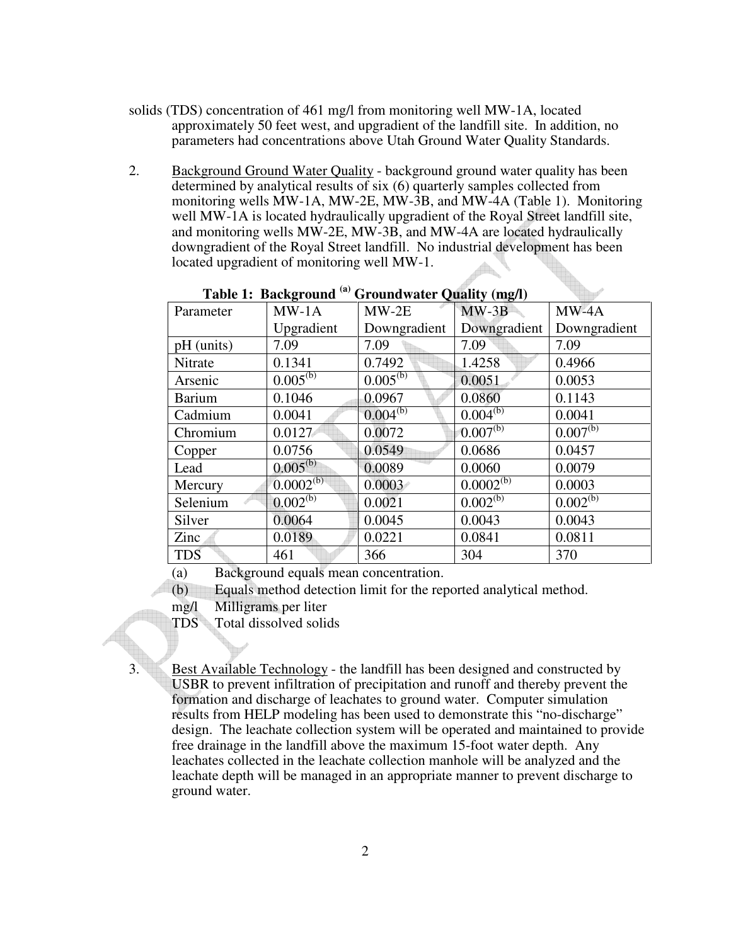- solids (TDS) concentration of 461 mg/l from monitoring well MW-1A, located approximately 50 feet west, and upgradient of the landfill site. In addition, no parameters had concentrations above Utah Ground Water Quality Standards.
- 2. Background Ground Water Quality background ground water quality has been determined by analytical results of six (6) quarterly samples collected from monitoring wells MW-1A, MW-2E, MW-3B, and MW-4A (Table 1). Monitoring well MW-1A is located hydraulically upgradient of the Royal Street landfill site, and monitoring wells MW-2E, MW-3B, and MW-4A are located hydraulically downgradient of the Royal Street landfill. No industrial development has been located upgradient of monitoring well MW-1.

| Parameter     | $MW-1A$        | $MW-2E$       | $MW-3B$        | $MW-4A$       |
|---------------|----------------|---------------|----------------|---------------|
|               | Upgradient     | Downgradient  | Downgradient   | Downgradient  |
| pH (units)    | 7.09           | 7.09          | 7.09           | 7.09          |
| Nitrate       | 0.1341         | 0.7492        | 1.4258         | 0.4966        |
| Arsenic       | $0.005^{(b)}$  | $0.005^{(b)}$ | 0.0051         | 0.0053        |
| <b>Barium</b> | 0.1046         | 0.0967        | 0.0860         | 0.1143        |
| Cadmium       | 0.0041         | $0.004^{(b)}$ | $0.004^{(b)}$  | 0.0041        |
| Chromium      | 0.0127         | 0.0072        | $0.007^{(b)}$  | $0.007^{(b)}$ |
| Copper        | 0.0756         | 0.0549        | 0.0686         | 0.0457        |
| Lead          | $0.005^{(b)}$  | 0.0089        | 0.0060         | 0.0079        |
| Mercury       | $0.0002^{(b)}$ | 0.0003        | $0.0002^{(b)}$ | 0.0003        |
| Selenium      | $0.002^{(b)}$  | 0.0021        | $0.002^{(b)}$  | $0.002^{(b)}$ |
| Silver        | 0.0064         | 0.0045        | 0.0043         | 0.0043        |
| Zinc          | 0.0189         | 0.0221        | 0.0841         | 0.0811        |
| <b>TDS</b>    | 461            | 366           | 304            | 370           |

**Table 1: Background (a) Groundwater Quality (mg/l)** 

(a) Background equals mean concentration.

(b) Equals method detection limit for the reported analytical method.

mg/l Milligrams per liter

TDS Total dissolved solids

3. Best Available Technology - the landfill has been designed and constructed by USBR to prevent infiltration of precipitation and runoff and thereby prevent the formation and discharge of leachates to ground water. Computer simulation results from HELP modeling has been used to demonstrate this "no-discharge" design. The leachate collection system will be operated and maintained to provide free drainage in the landfill above the maximum 15-foot water depth. Any leachates collected in the leachate collection manhole will be analyzed and the leachate depth will be managed in an appropriate manner to prevent discharge to ground water.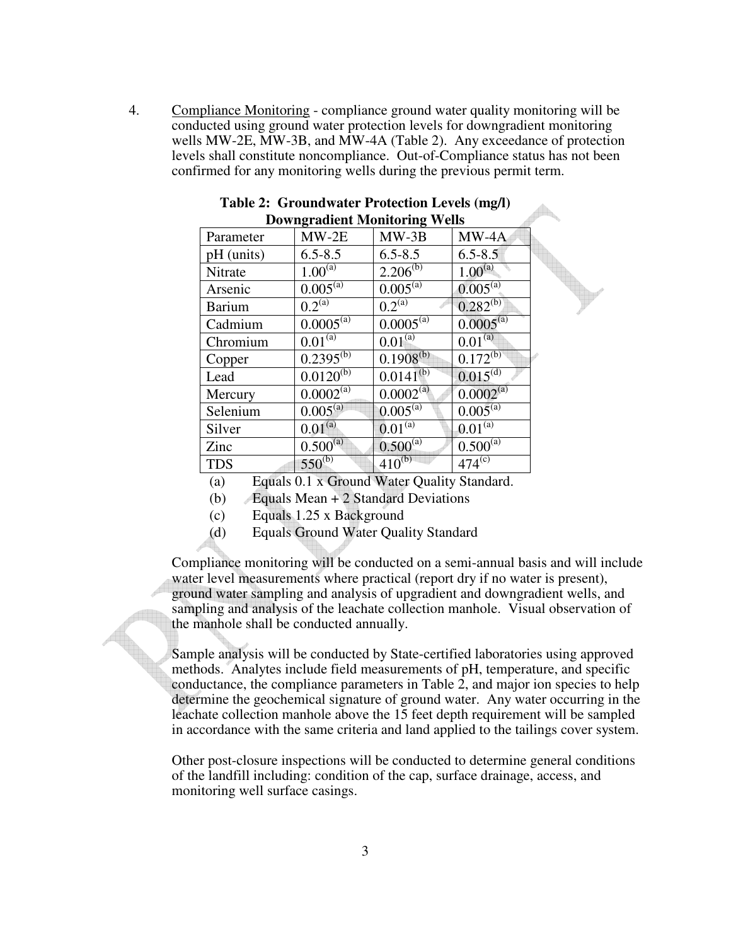4. Compliance Monitoring - compliance ground water quality monitoring will be conducted using ground water protection levels for downgradient monitoring wells MW-2E, MW-3B, and MW-4A (Table 2). Any exceedance of protection levels shall constitute noncompliance. Out-of-Compliance status has not been confirmed for any monitoring wells during the previous permit term.

| Downgruurent Monitoring Wens |                |                |                      |  |  |  |  |
|------------------------------|----------------|----------------|----------------------|--|--|--|--|
| Parameter                    | $MW-2E$        | $MW-3B$        | $MW-4A$              |  |  |  |  |
| pH (units)                   | $6.5 - 8.5$    | $6.5 - 8.5$    | $6.5 - 8.5$          |  |  |  |  |
| Nitrate                      | $1.00^{(a)}$   | $2.206^{(b)}$  | $1.00^{(a)}$         |  |  |  |  |
| Arsenic                      | $0.005^{(a)}$  | $0.005^{(a)}$  | $0.005^{(a)}$        |  |  |  |  |
| <b>Barium</b>                | $0.2^{(a)}$    | $0.2^{(a)}$    | $0.282^{(b)}$        |  |  |  |  |
| Cadmium                      | $0.0005^{(a)}$ | $0.0005^{(a)}$ | $0.0005^{(a)}$       |  |  |  |  |
| Chromium                     | $0.01^{(a)}$   | $0.01^{(a)}$   | $0.01^{(a)}$         |  |  |  |  |
| Copper                       | $0.2395^{(b)}$ | $0.1908^{(b)}$ | $0.172^{(b)}$        |  |  |  |  |
| Lead                         | $0.0120^{(b)}$ | $0.0141^{(b)}$ | $0.015^{(d)}$        |  |  |  |  |
| Mercury                      | $0.0002^{(a)}$ | $0.0002^{(a)}$ | $0.0002^{(a)}$       |  |  |  |  |
| Selenium                     | $0.005^{(a)}$  | $0.005^{(a)}$  | $0.005^{(a)}$        |  |  |  |  |
| Silver                       | $0.01^{(a)}$   | $0.01^{(a)}$   | $0.01^{(a)}$         |  |  |  |  |
| Zinc                         | $0.500^{(a)}$  | $0.500^{(a)}$  | $0.500^{(a)}$        |  |  |  |  |
| <b>TDS</b>                   | $550^{(b)}$    | $410^{(b)}$    | $474^{\overline{c}}$ |  |  |  |  |

**Table 2: Groundwater Protection Levels (mg/l) Downgradient Monitoring Wells** 

(a) Equals 0.1 x Ground Water Quality Standard.

- (b) Equals Mean + 2 Standard Deviations
- (c) Equals 1.25 x Background
- (d) Equals Ground Water Quality Standard

Compliance monitoring will be conducted on a semi-annual basis and will include water level measurements where practical (report dry if no water is present), ground water sampling and analysis of upgradient and downgradient wells, and sampling and analysis of the leachate collection manhole. Visual observation of the manhole shall be conducted annually.

Sample analysis will be conducted by State-certified laboratories using approved methods. Analytes include field measurements of pH, temperature, and specific conductance, the compliance parameters in Table 2, and major ion species to help determine the geochemical signature of ground water. Any water occurring in the leachate collection manhole above the 15 feet depth requirement will be sampled in accordance with the same criteria and land applied to the tailings cover system.

Other post-closure inspections will be conducted to determine general conditions of the landfill including: condition of the cap, surface drainage, access, and monitoring well surface casings.